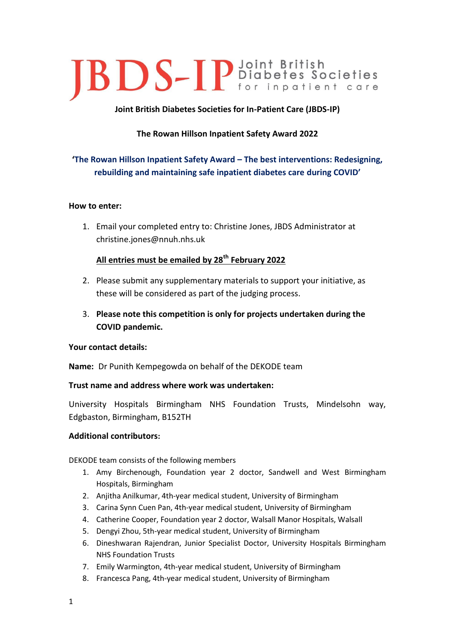# **JBDS-IP** Diabetes Societies

### **Joint British Diabetes Societies for In-Patient Care (JBDS-IP)**

## **The Rowan Hillson Inpatient Safety Award 2022**

## **'The Rowan Hillson Inpatient Safety Award – The best interventions: Redesigning, rebuilding and maintaining safe inpatient diabetes care during COVID'**

#### **How to enter:**

1. Email your completed entry to: Christine Jones, JBDS Administrator at christine.jones@nnuh.nhs.uk

#### **All entries must be emailed by 28th February 2022**

- 2. Please submit any supplementary materials to support your initiative, as these will be considered as part of the judging process.
- 3. **Please note this competition is only for projects undertaken during the COVID pandemic.**

#### **Your contact details:**

**Name:** Dr Punith Kempegowda on behalf of the DEKODE team

#### **Trust name and address where work was undertaken:**

University Hospitals Birmingham NHS Foundation Trusts, Mindelsohn way, Edgbaston, Birmingham, B152TH

#### **Additional contributors:**

DEKODE team consists of the following members

- 1. Amy Birchenough, Foundation year 2 doctor, Sandwell and West Birmingham Hospitals, Birmingham
- 2. Anjitha Anilkumar, 4th-year medical student, University of Birmingham
- 3. Carina Synn Cuen Pan, 4th-year medical student, University of Birmingham
- 4. Catherine Cooper, Foundation year 2 doctor, Walsall Manor Hospitals, Walsall
- 5. Dengyi Zhou, 5th-year medical student, University of Birmingham
- 6. Dineshwaran Rajendran, Junior Specialist Doctor, University Hospitals Birmingham NHS Foundation Trusts
- 7. Emily Warmington, 4th-year medical student, University of Birmingham
- 8. Francesca Pang, 4th-year medical student, University of Birmingham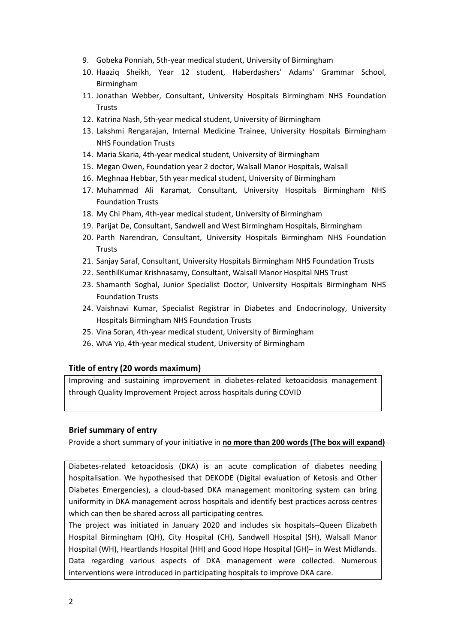- 9. Gobeka Ponniah, 5th-year medical student, University of Birmingham
- 10. Haaziq Sheikh, Year 12 student, Haberdashers' Adams' Grammar School, Birmingham
- 11. Jonathan Webber, Consultant, University Hospitals Birmingham NHS Foundation **Trusts**
- 12. Katrina Nash, 5th-year medical student, University of Birmingham
- 13. Lakshmi Rengarajan, Internal Medicine Trainee, University Hospitals Birmingham NHS Foundation Trusts
- 14. Maria Skaria, 4th-year medical student, University of Birmingham
- 15. Megan Owen, Foundation year 2 doctor, Walsall Manor Hospitals, Walsall
- 16. Meghnaa Hebbar, 5th year medical student, University of Birmingham
- 17. Muhammad Ali Karamat, Consultant, University Hospitals Birmingham NHS Foundation Trusts
- 18. My Chi Pham, 4th-year medical student, University of Birmingham
- 19. Parijat De, Consultant, Sandwell and West Birmingham Hospitals, Birmingham
- 20. Parth Narendran, Consultant, University Hospitals Birmingham NHS Foundation Trusts
- 21. Sanjay Saraf, Consultant, University Hospitals Birmingham NHS Foundation Trusts
- 22. SenthilKumar Krishnasamy, Consultant, Walsall Manor Hospital NHS Trust
- 23. Shamanth Soghal, Junior Specialist Doctor, University Hospitals Birmingham NHS Foundation Trusts
- 24. Vaishnavi Kumar, Specialist Registrar in Diabetes and Endocrinology, University Hospitals Birmingham NHS Foundation Trusts
- 25. Vina Soran, 4th-year medical student, University of Birmingham
- 26. WNA Yip, 4th-year medical student, University of Birmingham

#### **Title of entry (20 words maximum)**

Improving and sustaining improvement in diabetes-related ketoacidosis management through Quality Improvement Project across hospitals during COVID

#### **Brief summary of entry**

Provide a short summary of your initiative in **no more than 200 words (The box will expand)**

Diabetes-related ketoacidosis (DKA) is an acute complication of diabetes needing hospitalisation. We hypothesised that DEKODE (Digital evaluation of Ketosis and Other Diabetes Emergencies), a cloud-based DKA management monitoring system can bring uniformity in DKA management across hospitals and identify best practices across centres which can then be shared across all participating centres.

The project was initiated in January 2020 and includes six hospitals–Queen Elizabeth Hospital Birmingham (QH), City Hospital (CH), Sandwell Hospital (SH), Walsall Manor Hospital (WH), Heartlands Hospital (HH) and Good Hope Hospital (GH)– in West Midlands. Data regarding various aspects of DKA management were collected. Numerous interventions were introduced in participating hospitals to improve DKA care.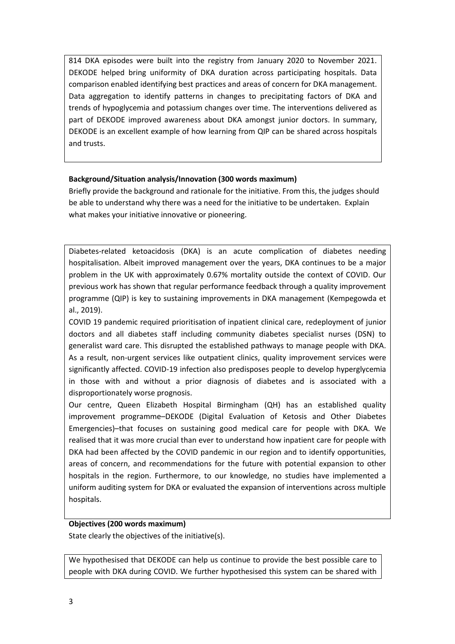814 DKA episodes were built into the registry from January 2020 to November 2021. DEKODE helped bring uniformity of DKA duration across participating hospitals. Data comparison enabled identifying best practices and areas of concern for DKA management. Data aggregation to identify patterns in changes to precipitating factors of DKA and trends of hypoglycemia and potassium changes over time. The interventions delivered as part of DEKODE improved awareness about DKA amongst junior doctors. In summary, DEKODE is an excellent example of how learning from QIP can be shared across hospitals and trusts.

#### **Background/Situation analysis/Innovation (300 words maximum)**

Briefly provide the background and rationale for the initiative. From this, the judges should be able to understand why there was a need for the initiative to be undertaken. Explain what makes your initiative innovative or pioneering.

Diabetes-related ketoacidosis (DKA) is an acute complication of diabetes needing hospitalisation. Albeit improved management over the years, DKA continues to be a major problem in the UK with approximately 0.67% mortality outside the context of COVID. Our previous work has shown that regular performance feedback through a quality improvement programme (QIP) is key to sustaining improvements in DKA management (Kempegowda et al., 2019).

COVID 19 pandemic required prioritisation of inpatient clinical care, redeployment of junior doctors and all diabetes staff including community diabetes specialist nurses (DSN) to generalist ward care. This disrupted the established pathways to manage people with DKA. As a result, non-urgent services like outpatient clinics, quality improvement services were significantly affected. COVID-19 infection also predisposes people to develop hyperglycemia in those with and without a prior diagnosis of diabetes and is associated with a disproportionately worse prognosis.

Our centre, Queen Elizabeth Hospital Birmingham (QH) has an established quality improvement programme–DEKODE (Digital Evaluation of Ketosis and Other Diabetes Emergencies)–that focuses on sustaining good medical care for people with DKA. We realised that it was more crucial than ever to understand how inpatient care for people with DKA had been affected by the COVID pandemic in our region and to identify opportunities, areas of concern, and recommendations for the future with potential expansion to other hospitals in the region. Furthermore, to our knowledge, no studies have implemented a uniform auditing system for DKA or evaluated the expansion of interventions across multiple hospitals.

#### **Objectives (200 words maximum)**

State clearly the objectives of the initiative(s).

We hypothesised that DEKODE can help us continue to provide the best possible care to people with DKA during COVID. We further hypothesised this system can be shared with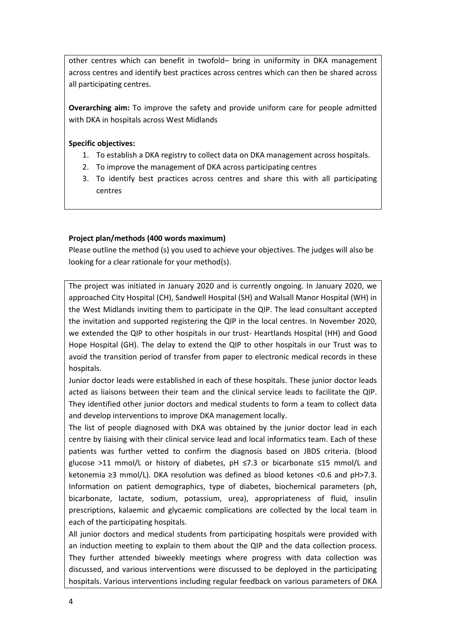other centres which can benefit in twofold– bring in uniformity in DKA management across centres and identify best practices across centres which can then be shared across all participating centres.

**Overarching aim:** To improve the safety and provide uniform care for people admitted with DKA in hospitals across West Midlands

#### **Specific objectives:**

- 1. To establish a DKA registry to collect data on DKA management across hospitals.
- 2. To improve the management of DKA across participating centres
- 3. To identify best practices across centres and share this with all participating centres

#### **Project plan/methods (400 words maximum)**

Please outline the method (s) you used to achieve your objectives. The judges will also be looking for a clear rationale for your method(s).

The project was initiated in January 2020 and is currently ongoing. In January 2020, we approached City Hospital (CH), Sandwell Hospital (SH) and Walsall Manor Hospital (WH) in the West Midlands inviting them to participate in the QIP. The lead consultant accepted the invitation and supported registering the QIP in the local centres. In November 2020, we extended the QIP to other hospitals in our trust- Heartlands Hospital (HH) and Good Hope Hospital (GH). The delay to extend the QIP to other hospitals in our Trust was to avoid the transition period of transfer from paper to electronic medical records in these hospitals.

Junior doctor leads were established in each of these hospitals. These junior doctor leads acted as liaisons between their team and the clinical service leads to facilitate the QIP. They identified other junior doctors and medical students to form a team to collect data and develop interventions to improve DKA management locally.

The list of people diagnosed with DKA was obtained by the junior doctor lead in each centre by liaising with their clinical service lead and local informatics team. Each of these patients was further vetted to confirm the diagnosis based on JBDS criteria. (blood glucose >11 mmol/L or history of diabetes, pH ≤7.3 or bicarbonate ≤15 mmol/L and ketonemia ≥3 mmol/L). DKA resolution was defined as blood ketones <0.6 and pH>7.3. Information on patient demographics, type of diabetes, biochemical parameters (ph, bicarbonate, lactate, sodium, potassium, urea), appropriateness of fluid, insulin prescriptions, kalaemic and glycaemic complications are collected by the local team in each of the participating hospitals.

All junior doctors and medical students from participating hospitals were provided with an induction meeting to explain to them about the QIP and the data collection process. They further attended biweekly meetings where progress with data collection was discussed, and various interventions were discussed to be deployed in the participating hospitals. Various interventions including regular feedback on various parameters of DKA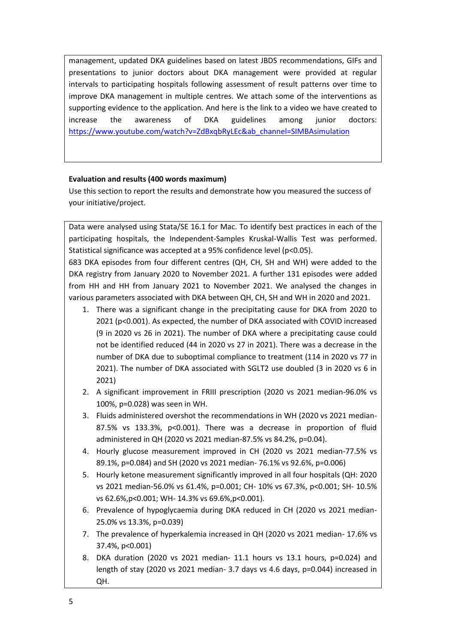management, updated DKA guidelines based on latest JBDS recommendations, GIFs and presentations to junior doctors about DKA management were provided at regular intervals to participating hospitals following assessment of result patterns over time to improve DKA management in multiple centres. We attach some of the interventions as supporting evidence to the application. And here is the link to a video we have created to increase the awareness of DKA guidelines among junior doctors: [https://www.youtube.com/watch?v=ZdBxqbRyLEc&ab\\_channel=SIMBAsimulation](https://www.youtube.com/watch?v=ZdBxqbRyLEc&ab_channel=SIMBAsimulation)

#### **Evaluation and results (400 words maximum)**

Use this section to report the results and demonstrate how you measured the success of your initiative/project.

Data were analysed using Stata/SE 16.1 for Mac. To identify best practices in each of the participating hospitals, the Independent-Samples Kruskal-Wallis Test was performed. Statistical significance was accepted at a 95% confidence level (p<0.05).

683 DKA episodes from four different centres (QH, CH, SH and WH) were added to the DKA registry from January 2020 to November 2021. A further 131 episodes were added from HH and HH from January 2021 to November 2021. We analysed the changes in various parameters associated with DKA between QH, CH, SH and WH in 2020 and 2021.

- 1. There was a significant change in the precipitating cause for DKA from 2020 to 2021 (p<0.001). As expected, the number of DKA associated with COVID increased (9 in 2020 vs 26 in 2021). The number of DKA where a precipitating cause could not be identified reduced (44 in 2020 vs 27 in 2021). There was a decrease in the number of DKA due to suboptimal compliance to treatment (114 in 2020 vs 77 in 2021). The number of DKA associated with SGLT2 use doubled (3 in 2020 vs 6 in 2021)
- 2. A significant improvement in FRIII prescription (2020 vs 2021 median-96.0% vs 100%, p=0.028) was seen in WH.
- 3. Fluids administered overshot the recommendations in WH (2020 vs 2021 median-87.5% vs 133.3%, p<0.001). There was a decrease in proportion of fluid administered in QH (2020 vs 2021 median-87.5% vs 84.2%, p=0.04).
- 4. Hourly glucose measurement improved in CH (2020 vs 2021 median-77.5% vs 89.1%, p=0.084) and SH (2020 vs 2021 median- 76.1% vs 92.6%, p=0.006)
- 5. Hourly ketone measurement significantly improved in all four hospitals (QH: 2020 vs 2021 median-56.0% vs 61.4%, p=0.001; CH- 10% vs 67.3%, p<0.001; SH- 10.5% vs 62.6%,p<0.001; WH- 14.3% vs 69.6%,p<0.001).
- 6. Prevalence of hypoglycaemia during DKA reduced in CH (2020 vs 2021 median-25.0% vs 13.3%, p=0.039)
- 7. The prevalence of hyperkalemia increased in QH (2020 vs 2021 median- 17.6% vs 37.4%, p<0.001)
- 8. DKA duration (2020 vs 2021 median- 11.1 hours vs 13.1 hours, p=0.024) and length of stay (2020 vs 2021 median- 3.7 days vs 4.6 days, p=0.044) increased in QH.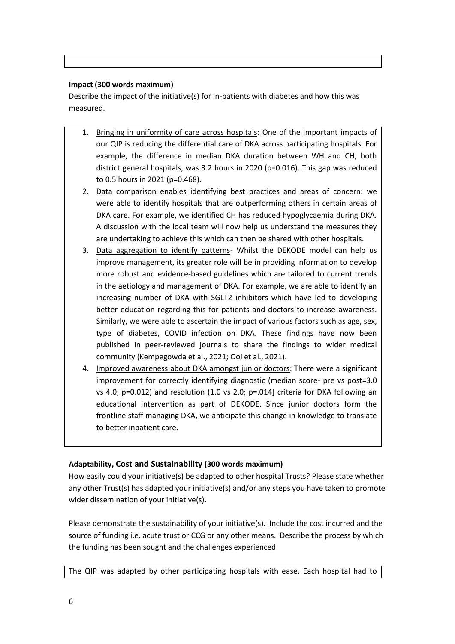#### **Impact (300 words maximum)**

Describe the impact of the initiative(s) for in-patients with diabetes and how this was measured.

- 1. Bringing in uniformity of care across hospitals: One of the important impacts of our QIP is reducing the differential care of DKA across participating hospitals. For example, the difference in median DKA duration between WH and CH, both district general hospitals, was 3.2 hours in 2020 ( $p=0.016$ ). This gap was reduced to 0.5 hours in 2021 (p=0.468).
- 2. Data comparison enables identifying best practices and areas of concern: we were able to identify hospitals that are outperforming others in certain areas of DKA care. For example, we identified CH has reduced hypoglycaemia during DKA. A discussion with the local team will now help us understand the measures they are undertaking to achieve this which can then be shared with other hospitals.
- 3. Data aggregation to identify patterns- Whilst the DEKODE model can help us improve management, its greater role will be in providing information to develop more robust and evidence-based guidelines which are tailored to current trends in the aetiology and management of DKA. For example, we are able to identify an increasing number of DKA with SGLT2 inhibitors which have led to developing better education regarding this for patients and doctors to increase awareness. Similarly, we were able to ascertain the impact of various factors such as age, sex, type of diabetes, COVID infection on DKA. These findings have now been published in peer-reviewed journals to share the findings to wider medical community (Kempegowda et al., 2021; Ooi et al., 2021).
- 4. Improved awareness about DKA amongst junior doctors: There were a significant improvement for correctly identifying diagnostic (median score- pre vs post=3.0 vs 4.0; p=0.012) and resolution (1.0 vs 2.0; p=.014] criteria for DKA following an educational intervention as part of DEKODE. Since junior doctors form the frontline staff managing DKA, we anticipate this change in knowledge to translate to better inpatient care.

#### **Adaptability, Cost and Sustainability (300 words maximum)**

How easily could your initiative(s) be adapted to other hospital Trusts? Please state whether any other Trust(s) has adapted your initiative(s) and/or any steps you have taken to promote wider dissemination of your initiative(s).

Please demonstrate the sustainability of your initiative(s). Include the cost incurred and the source of funding i.e. acute trust or CCG or any other means. Describe the process by which the funding has been sought and the challenges experienced.

The QIP was adapted by other participating hospitals with ease. Each hospital had to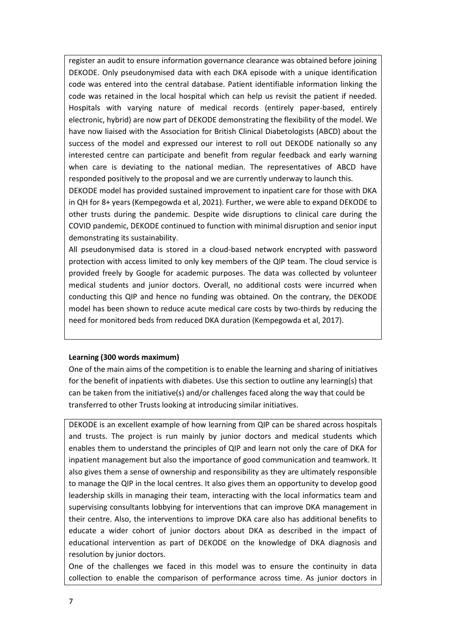register an audit to ensure information governance clearance was obtained before joining DEKODE. Only pseudonymised data with each DKA episode with a unique identification code was entered into the central database. Patient identifiable information linking the code was retained in the local hospital which can help us revisit the patient if needed. Hospitals with varying nature of medical records (entirely paper-based, entirely electronic, hybrid) are now part of DEKODE demonstrating the flexibility of the model. We have now liaised with the Association for British Clinical Diabetologists (ABCD) about the success of the model and expressed our interest to roll out DEKODE nationally so any interested centre can participate and benefit from regular feedback and early warning when care is deviating to the national median. The representatives of ABCD have responded positively to the proposal and we are currently underway to launch this.

DEKODE model has provided sustained improvement to inpatient care for those with DKA in QH for 8+ years (Kempegowda et al, 2021). Further, we were able to expand DEKODE to other trusts during the pandemic. Despite wide disruptions to clinical care during the COVID pandemic, DEKODE continued to function with minimal disruption and senior input demonstrating its sustainability.

All pseudonymised data is stored in a cloud-based network encrypted with password protection with access limited to only key members of the QIP team. The cloud service is provided freely by Google for academic purposes. The data was collected by volunteer medical students and junior doctors. Overall, no additional costs were incurred when conducting this QIP and hence no funding was obtained. On the contrary, the DEKODE model has been shown to reduce acute medical care costs by two-thirds by reducing the need for monitored beds from reduced DKA duration (Kempegowda et al, 2017).

#### **Learning (300 words maximum)**

One of the main aims of the competition is to enable the learning and sharing of initiatives for the benefit of inpatients with diabetes. Use this section to outline any learning(s) that can be taken from the initiative(s) and/or challenges faced along the way that could be transferred to other Trusts looking at introducing similar initiatives.

DEKODE is an excellent example of how learning from QIP can be shared across hospitals and trusts. The project is run mainly by junior doctors and medical students which enables them to understand the principles of QIP and learn not only the care of DKA for inpatient management but also the importance of good communication and teamwork. It also gives them a sense of ownership and responsibility as they are ultimately responsible to manage the QIP in the local centres. It also gives them an opportunity to develop good leadership skills in managing their team, interacting with the local informatics team and supervising consultants lobbying for interventions that can improve DKA management in their centre. Also, the interventions to improve DKA care also has additional benefits to educate a wider cohort of junior doctors about DKA as described in the impact of educational intervention as part of DEKODE on the knowledge of DKA diagnosis and resolution by junior doctors.

One of the challenges we faced in this model was to ensure the continuity in data collection to enable the comparison of performance across time. As junior doctors in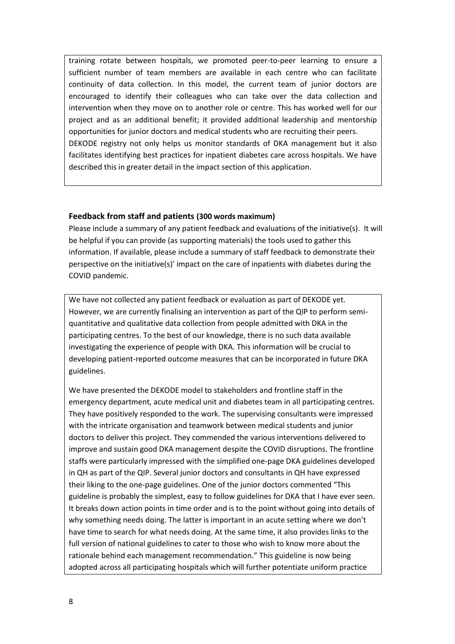training rotate between hospitals, we promoted peer-to-peer learning to ensure a sufficient number of team members are available in each centre who can facilitate continuity of data collection. In this model, the current team of junior doctors are encouraged to identify their colleagues who can take over the data collection and intervention when they move on to another role or centre. This has worked well for our project and as an additional benefit; it provided additional leadership and mentorship opportunities for junior doctors and medical students who are recruiting their peers. DEKODE registry not only helps us monitor standards of DKA management but it also facilitates identifying best practices for inpatient diabetes care across hospitals. We have described this in greater detail in the impact section of this application.

#### **Feedback from staff and patients (300 words maximum)**

Please include a summary of any patient feedback and evaluations of the initiative(s). It will be helpful if you can provide (as supporting materials) the tools used to gather this information. If available, please include a summary of staff feedback to demonstrate their perspective on the initiative(s)' impact on the care of inpatients with diabetes during the COVID pandemic.

We have not collected any patient feedback or evaluation as part of DEKODE yet. However, we are currently finalising an intervention as part of the QIP to perform semiquantitative and qualitative data collection from people admitted with DKA in the participating centres. To the best of our knowledge, there is no such data available investigating the experience of people with DKA. This information will be crucial to developing patient-reported outcome measures that can be incorporated in future DKA guidelines.

We have presented the DEKODE model to stakeholders and frontline staff in the emergency department, acute medical unit and diabetes team in all participating centres. They have positively responded to the work. The supervising consultants were impressed with the intricate organisation and teamwork between medical students and junior doctors to deliver this project. They commended the various interventions delivered to improve and sustain good DKA management despite the COVID disruptions. The frontline staffs were particularly impressed with the simplified one-page DKA guidelines developed in QH as part of the QIP. Several junior doctors and consultants in QH have expressed their liking to the one-page guidelines. One of the junior doctors commented "This guideline is probably the simplest, easy to follow guidelines for DKA that I have ever seen. It breaks down action points in time order and is to the point without going into details of why something needs doing. The latter is important in an acute setting where we don't have time to search for what needs doing. At the same time, it also provides links to the full version of national guidelines to cater to those who wish to know more about the rationale behind each management recommendation." This guideline is now being adopted across all participating hospitals which will further potentiate uniform practice